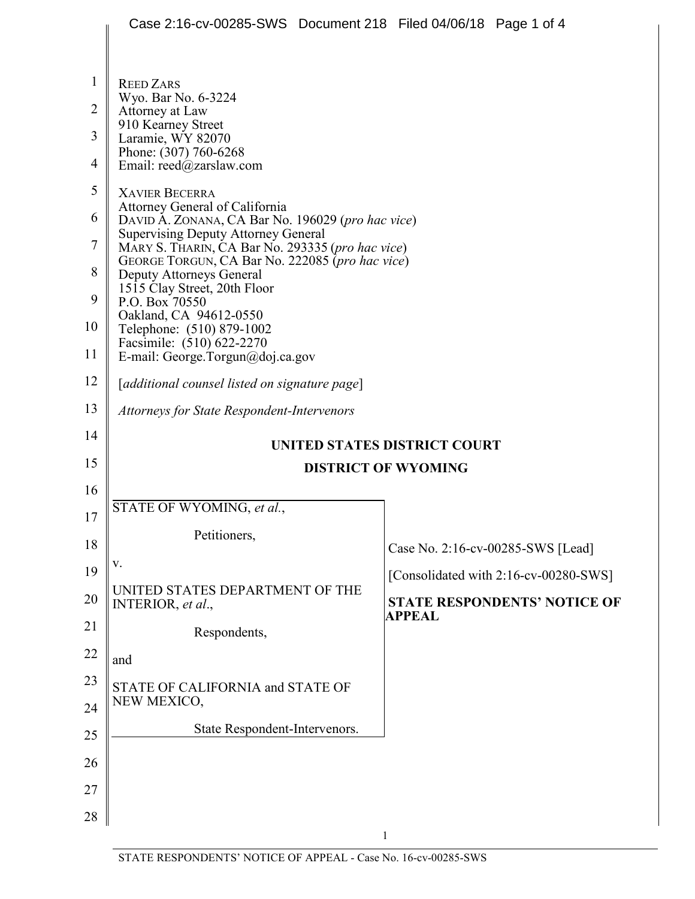|                | Case 2:16-cv-00285-SWS Document 218 Filed 04/06/18 Page 1 of 4                                                                                                                        |                                       |  |
|----------------|---------------------------------------------------------------------------------------------------------------------------------------------------------------------------------------|---------------------------------------|--|
|                |                                                                                                                                                                                       |                                       |  |
| 1              | <b>REED ZARS</b>                                                                                                                                                                      |                                       |  |
| $\overline{2}$ | Wyo. Bar No. 6-3224<br>Attorney at Law                                                                                                                                                |                                       |  |
| 3              | 910 Kearney Street<br>Laramie, WY 82070                                                                                                                                               |                                       |  |
| 4              | Phone: (307) 760-6268<br>Email: reed@zarslaw.com                                                                                                                                      |                                       |  |
| 5              | <b>XAVIER BECERRA</b>                                                                                                                                                                 |                                       |  |
| 6              | Attorney General of California<br>DAVID A. ZONANA, CA Bar No. 196029 (pro hac vice)<br><b>Supervising Deputy Attorney General</b><br>MARY S. THARIN, CA Bar No. 293335 (pro hac vice) |                                       |  |
| 7              |                                                                                                                                                                                       |                                       |  |
| 8              | GEORGE TORGUN, CA Bar No. 222085 (pro hac vice)<br><b>Deputy Attorneys General</b>                                                                                                    |                                       |  |
| 9              | 1515 Clay Street, 20th Floor<br>P.O. Box 70550                                                                                                                                        |                                       |  |
| 10             | Oakland, CA 94612-0550<br>Telephone: (510) 879-1002                                                                                                                                   |                                       |  |
| 11             | Facsimile: (510) 622-2270<br>E-mail: George.Torgun@doj.ca.gov                                                                                                                         |                                       |  |
| 12             | [additional counsel listed on signature page]                                                                                                                                         |                                       |  |
| 13             | <b>Attorneys for State Respondent-Intervenors</b>                                                                                                                                     |                                       |  |
| 14             | UNITED STATES DISTRICT COURT                                                                                                                                                          |                                       |  |
| 15             |                                                                                                                                                                                       | <b>DISTRICT OF WYOMING</b>            |  |
| 16             |                                                                                                                                                                                       |                                       |  |
| 17             | STATE OF WYOMING, et al.,                                                                                                                                                             |                                       |  |
| 18             | Petitioners,                                                                                                                                                                          | Case No. 2:16-cv-00285-SWS [Lead]     |  |
| 19             | V.                                                                                                                                                                                    | [Consolidated with 2:16-cv-00280-SWS] |  |
| 20             | UNITED STATES DEPARTMENT OF THE<br>INTERIOR, et al.,                                                                                                                                  | <b>STATE RESPONDENTS' NOTICE OF</b>   |  |
| 21             | Respondents,                                                                                                                                                                          | APPEAL                                |  |
| 22             | and                                                                                                                                                                                   |                                       |  |
| 23             | STATE OF CALIFORNIA and STATE OF                                                                                                                                                      |                                       |  |
| 24             | NEW MEXICO,                                                                                                                                                                           |                                       |  |
| 25             | State Respondent-Intervenors.                                                                                                                                                         |                                       |  |
| 26             |                                                                                                                                                                                       |                                       |  |
| 27             |                                                                                                                                                                                       |                                       |  |
| 28             |                                                                                                                                                                                       |                                       |  |

1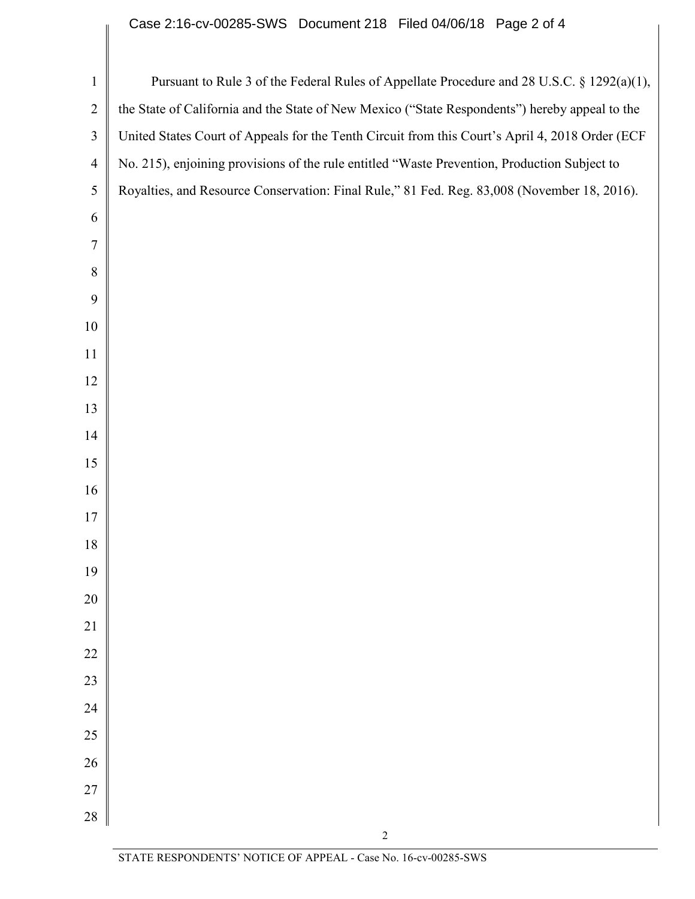## Case 2:16-cv-00285-SWS Document 218 Filed 04/06/18 Page 2 of 4

| $\mathbf{1}$   | Pursuant to Rule 3 of the Federal Rules of Appellate Procedure and 28 U.S.C. § 1292(a)(1),      |
|----------------|-------------------------------------------------------------------------------------------------|
| $\overline{2}$ | the State of California and the State of New Mexico ("State Respondents") hereby appeal to the  |
| 3              | United States Court of Appeals for the Tenth Circuit from this Court's April 4, 2018 Order (ECF |
| $\overline{4}$ | No. 215), enjoining provisions of the rule entitled "Waste Prevention, Production Subject to    |
| $\mathfrak{S}$ | Royalties, and Resource Conservation: Final Rule," 81 Fed. Reg. 83,008 (November 18, 2016).     |
| 6              |                                                                                                 |
| $\overline{7}$ |                                                                                                 |
| 8              |                                                                                                 |
| 9              |                                                                                                 |
| 10             |                                                                                                 |
| 11             |                                                                                                 |
| 12             |                                                                                                 |
| 13             |                                                                                                 |
| 14             |                                                                                                 |
| 15             |                                                                                                 |
| 16             |                                                                                                 |
| 17             |                                                                                                 |
| 18             |                                                                                                 |
| 19             |                                                                                                 |
| $20\,$         |                                                                                                 |
| $21\,$         |                                                                                                 |
| $22\,$         |                                                                                                 |
| 23             |                                                                                                 |
| 24             |                                                                                                 |
| 25             |                                                                                                 |
| 26             |                                                                                                 |
| 27             |                                                                                                 |
| 28             |                                                                                                 |
|                | $\sqrt{2}$                                                                                      |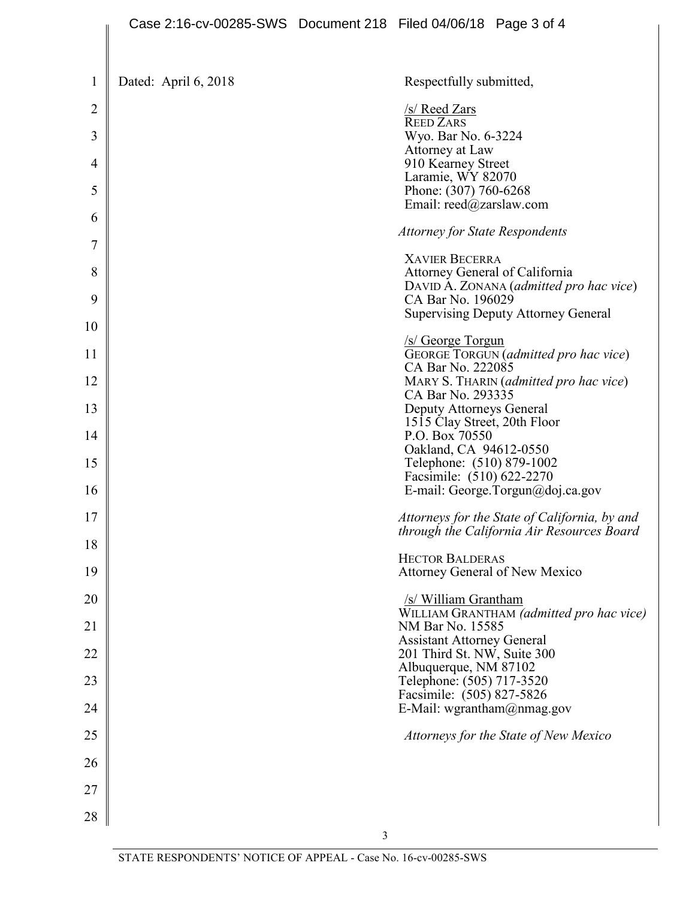|                | Case 2:16-cv-00285-SWS Document 218 Filed 04/06/18 Page 3 of 4 |                                                          |                                                                                             |
|----------------|----------------------------------------------------------------|----------------------------------------------------------|---------------------------------------------------------------------------------------------|
|                |                                                                |                                                          |                                                                                             |
| $\mathbf{1}$   | Dated: April 6, 2018                                           | Respectfully submitted,                                  |                                                                                             |
| $\overline{2}$ |                                                                | <u>/s/ Reed Zars</u><br><b>REED ZARS</b>                 |                                                                                             |
| 3              |                                                                | Wyo. Bar No. 6-3224<br>Attorney at Law                   |                                                                                             |
| 4              |                                                                | 910 Kearney Street<br>Laramie, WY 82070                  |                                                                                             |
| 5              |                                                                | Phone: (307) 760-6268<br>Email: reed@zarslaw.com         |                                                                                             |
| 6              |                                                                | <b>Attorney for State Respondents</b>                    |                                                                                             |
| 7              |                                                                | <b>XAVIER BECERRA</b>                                    |                                                                                             |
| 8              |                                                                | Attorney General of California                           | DAVID A. ZONANA (admitted pro hac vice)                                                     |
| 9              |                                                                | CA Bar No. 196029                                        | <b>Supervising Deputy Attorney General</b>                                                  |
| 10             |                                                                | /s/ George Torgun                                        |                                                                                             |
| 11             |                                                                | CA Bar No. 222085                                        | GEORGE TORGUN (admitted pro hac vice)                                                       |
| 12             |                                                                | CA Bar No. 293335                                        | MARY S. THARIN (admitted pro hac vice)                                                      |
| 13             |                                                                | Deputy Attorneys General<br>1515 Clay Street, 20th Floor |                                                                                             |
| 14             |                                                                | P.O. Box 70550<br>Oakland, CA 94612-0550                 |                                                                                             |
| 15             |                                                                | Telephone: (510) 879-1002<br>Facsimile: (510) 622-2270   |                                                                                             |
| 16             |                                                                |                                                          | E-mail: George.Torgun@doj.ca.gov                                                            |
| 17             |                                                                |                                                          | Attorneys for the State of California, by and<br>through the California Air Resources Board |
| 18             |                                                                | <b>HECTOR BALDERAS</b>                                   |                                                                                             |
| 19             |                                                                | Attorney General of New Mexico                           |                                                                                             |
| 20             |                                                                | /s/ William Grantham                                     | WILLIAM GRANTHAM (admitted pro hac vice)                                                    |
| 21             |                                                                | NM Bar No. 15585<br><b>Assistant Attorney General</b>    |                                                                                             |
| 22             |                                                                | 201 Third St. NW, Suite 300<br>Albuquerque, NM 87102     |                                                                                             |
| 23             |                                                                | Telephone: (505) 717-3520<br>Facsimile: (505) 827-5826   |                                                                                             |
| 24             |                                                                | E-Mail: wgrantham@nmag.gov                               |                                                                                             |
| 25             |                                                                |                                                          | Attorneys for the State of New Mexico                                                       |
| 26             |                                                                |                                                          |                                                                                             |
| 27             |                                                                |                                                          |                                                                                             |
| 28             |                                                                |                                                          |                                                                                             |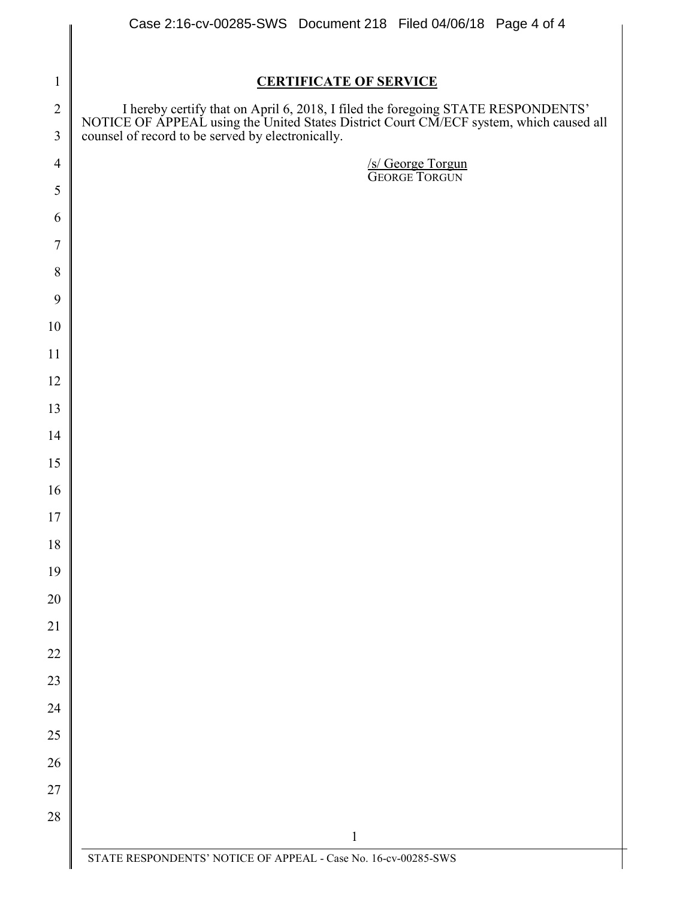|                | Case 2:16-cv-00285-SWS Document 218 Filed 04/06/18 Page 4 of 4                                                                                                                                                             |  |  |
|----------------|----------------------------------------------------------------------------------------------------------------------------------------------------------------------------------------------------------------------------|--|--|
|                |                                                                                                                                                                                                                            |  |  |
| $\mathbf{1}$   | <b>CERTIFICATE OF SERVICE</b>                                                                                                                                                                                              |  |  |
| $\overline{2}$ | I hereby certify that on April 6, 2018, I filed the foregoing STATE RESPONDENTS' NOTICE OF APPEAL using the United States District Court CM/ECF system, which caused all counsel of record to be served by electronically. |  |  |
| 3              |                                                                                                                                                                                                                            |  |  |
| $\overline{4}$ | S/George Torgun<br>GEORGE TORGUN                                                                                                                                                                                           |  |  |
| 5              |                                                                                                                                                                                                                            |  |  |
| 6              |                                                                                                                                                                                                                            |  |  |
| $\overline{7}$ |                                                                                                                                                                                                                            |  |  |
| 8              |                                                                                                                                                                                                                            |  |  |
| 9              |                                                                                                                                                                                                                            |  |  |
| 10             |                                                                                                                                                                                                                            |  |  |
| 11             |                                                                                                                                                                                                                            |  |  |
| 12             |                                                                                                                                                                                                                            |  |  |
| 13             |                                                                                                                                                                                                                            |  |  |
| 14             |                                                                                                                                                                                                                            |  |  |
| 15             |                                                                                                                                                                                                                            |  |  |
| 16             |                                                                                                                                                                                                                            |  |  |
| 17             |                                                                                                                                                                                                                            |  |  |
| 18             |                                                                                                                                                                                                                            |  |  |
| 19<br>20       |                                                                                                                                                                                                                            |  |  |
| 21             |                                                                                                                                                                                                                            |  |  |
| 22             |                                                                                                                                                                                                                            |  |  |
| 23             |                                                                                                                                                                                                                            |  |  |
| 24             |                                                                                                                                                                                                                            |  |  |
| 25             |                                                                                                                                                                                                                            |  |  |
| 26             |                                                                                                                                                                                                                            |  |  |
| 27             |                                                                                                                                                                                                                            |  |  |
| 28             |                                                                                                                                                                                                                            |  |  |
|                | $\mathbf{1}$                                                                                                                                                                                                               |  |  |
|                | STATE RESPONDENTS' NOTICE OF APPEAL - Case No. 16-cv-00285-SWS                                                                                                                                                             |  |  |